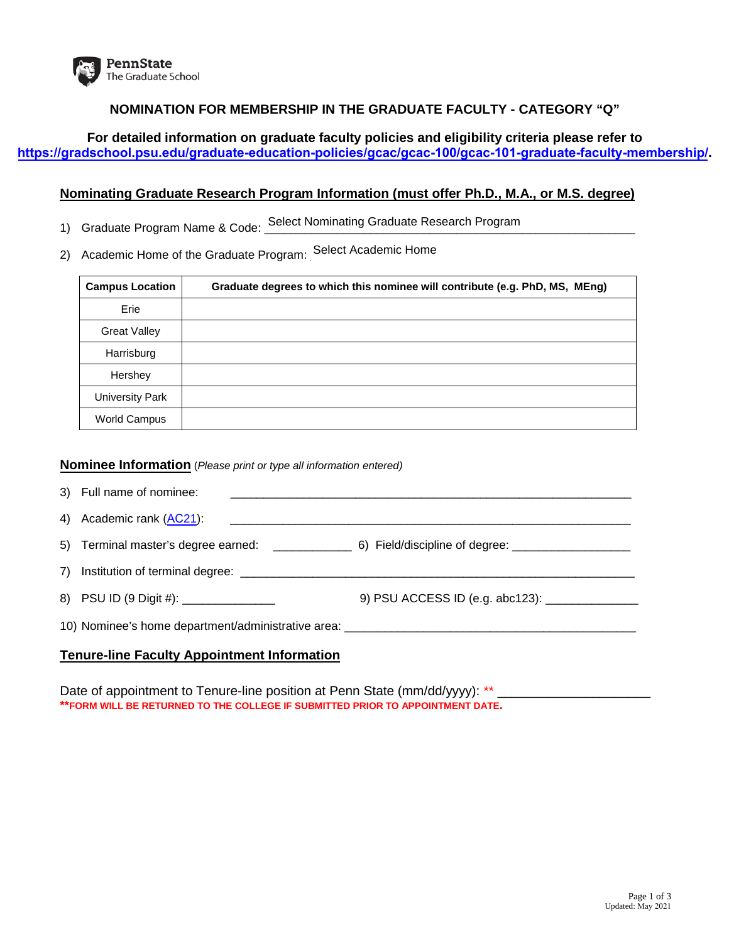

## **NOMINATION FOR MEMBERSHIP IN THE GRADUATE FACULTY - CATEGORY "Q"**

**For detailed information on graduate faculty policies and eligibility criteria please refer to <https://gradschool.psu.edu/graduate-education-policies/gcac/gcac-100/gcac-101-graduate-faculty-membership/>.** 

## **Nominating Graduate Research Program Information (must offer Ph.D., M.A., or M.S. degree)**

- 1) Graduate Program Name & Code: Select Nominating Graduate Research Program<br>2) Academic Home of the Graduate Program: Select Academic Home
- 2) Academic Home of the Graduate Program: Select Academic Home

| <b>Campus Location</b> | Graduate degrees to which this nominee will contribute (e.g. PhD, MS, MEng) |
|------------------------|-----------------------------------------------------------------------------|
| Erie                   |                                                                             |
| <b>Great Valley</b>    |                                                                             |
| Harrisburg             |                                                                             |
| Hershey                |                                                                             |
| University Park        |                                                                             |
| World Campus           |                                                                             |

### **Nominee Information** (*Please print or type all information entered)*

| 3) Full name of nominee:                                                         |  |
|----------------------------------------------------------------------------------|--|
| 4) Academic rank (AC21):                                                         |  |
|                                                                                  |  |
|                                                                                  |  |
| 8) PSU ID (9 Digit #): _______________                                           |  |
| 10) Nominee's home department/administrative area: _____________________________ |  |
|                                                                                  |  |

### **Tenure-line Faculty Appointment Information**

Date of appointment to Tenure-line position at Penn State (mm/dd/yyyy): \*\* **\*\*FORM WILL BE RETURNED TO THE COLLEGE IF SUBMITTED PRIOR TO APPOINTMENT DATE.**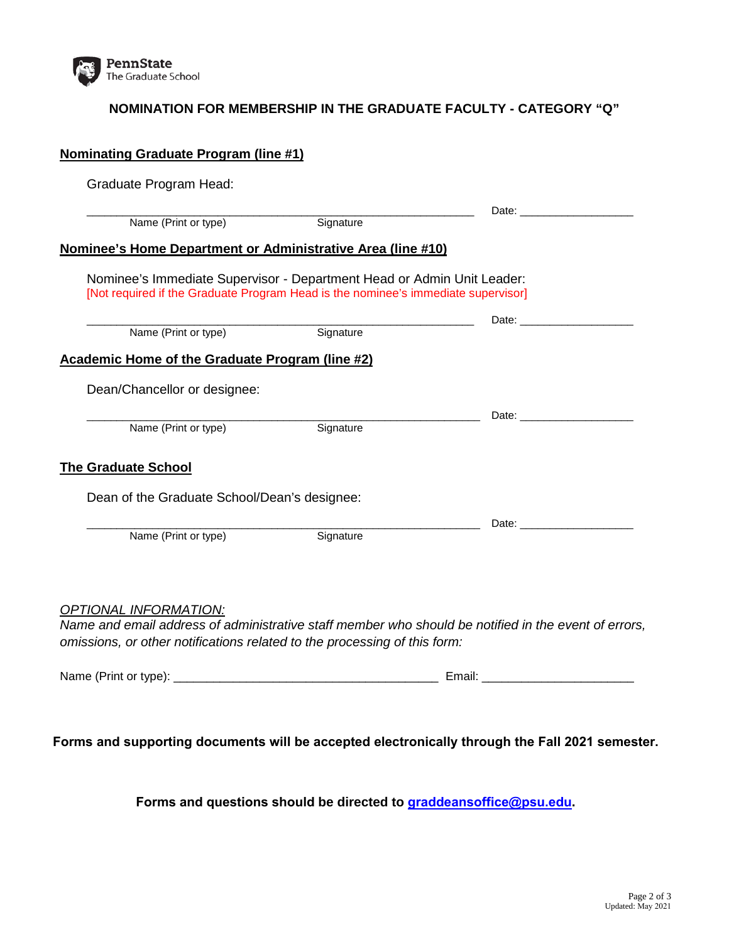

# **NOMINATION FOR MEMBERSHIP IN THE GRADUATE FACULTY - CATEGORY "Q"**

| Graduate Program Head:                                 |                                                                                                                                                             |                                                                                                                                                                                                                                |
|--------------------------------------------------------|-------------------------------------------------------------------------------------------------------------------------------------------------------------|--------------------------------------------------------------------------------------------------------------------------------------------------------------------------------------------------------------------------------|
|                                                        |                                                                                                                                                             | Date: the contract of the contract of the contract of the contract of the contract of the contract of the contract of the contract of the contract of the contract of the contract of the contract of the contract of the cont |
| Name (Print or type)                                   | Signature                                                                                                                                                   |                                                                                                                                                                                                                                |
|                                                        | Nominee's Home Department or Administrative Area (line #10)                                                                                                 |                                                                                                                                                                                                                                |
|                                                        | Nominee's Immediate Supervisor - Department Head or Admin Unit Leader:<br>[Not required if the Graduate Program Head is the nominee's immediate supervisor] |                                                                                                                                                                                                                                |
|                                                        |                                                                                                                                                             | Date: the contract of the contract of the contract of the contract of the contract of the contract of the contract of the contract of the contract of the contract of the contract of the contract of the contract of the cont |
| Name (Print or type)                                   | Signature                                                                                                                                                   |                                                                                                                                                                                                                                |
| <b>Academic Home of the Graduate Program (line #2)</b> |                                                                                                                                                             |                                                                                                                                                                                                                                |
| Dean/Chancellor or designee:                           |                                                                                                                                                             |                                                                                                                                                                                                                                |
| Name (Print or type)                                   | Signature                                                                                                                                                   |                                                                                                                                                                                                                                |
|                                                        |                                                                                                                                                             |                                                                                                                                                                                                                                |
| <b>The Graduate School</b>                             |                                                                                                                                                             |                                                                                                                                                                                                                                |
| Dean of the Graduate School/Dean's designee:           |                                                                                                                                                             |                                                                                                                                                                                                                                |
|                                                        |                                                                                                                                                             |                                                                                                                                                                                                                                |
| Name (Print or type)                                   | Signature                                                                                                                                                   |                                                                                                                                                                                                                                |
|                                                        |                                                                                                                                                             |                                                                                                                                                                                                                                |
| <b>OPTIONAL INFORMATION:</b>                           |                                                                                                                                                             |                                                                                                                                                                                                                                |
|                                                        |                                                                                                                                                             | Name and email address of administrative staff member who should be notified in the event of errors,                                                                                                                           |
|                                                        | omissions, or other notifications related to the processing of this form:                                                                                   |                                                                                                                                                                                                                                |
|                                                        |                                                                                                                                                             |                                                                                                                                                                                                                                |
|                                                        |                                                                                                                                                             |                                                                                                                                                                                                                                |

**Forms and questions should be directed to [graddeansoffice@psu.edu](mailto:L-GRAD-DEANS-OFFICE@lists.psu.edu).**